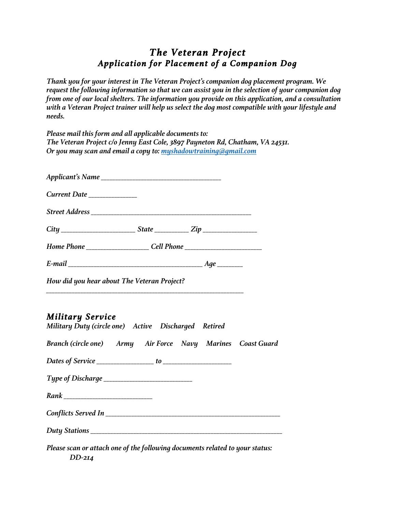# *The Veteran Project Application for Placement of a Companion Dog*

*Thank you for your interest in The Veteran Project's companion dog placement program. We request the following information so that we can assist you in the selection of your companion dog from one of our local shelters. The information you provide on this application, and a consultation with a Veteran Project trainer will help us select the dog most compatible with your lifestyle and needs.*

*Please mail this form and all applicable documents to: The Veteran Project c/o Jenny East Cole, 3897 Payneton Rd, Chatham, VA 24531. Or you may scan and email a copy to: myshadowtraining@gmail.com*

| Current Date ______________                                                                                                                    |  |  |
|------------------------------------------------------------------------------------------------------------------------------------------------|--|--|
|                                                                                                                                                |  |  |
|                                                                                                                                                |  |  |
| Home Phone _________________________ Cell Phone _________________________________                                                              |  |  |
|                                                                                                                                                |  |  |
| How did you hear about The Veteran Project?                                                                                                    |  |  |
| <b>Military Service</b><br>Military Duty (circle one) Active Discharged Retired<br>Branch (circle one) Army Air Force Navy Marines Coast Guard |  |  |
|                                                                                                                                                |  |  |
|                                                                                                                                                |  |  |
|                                                                                                                                                |  |  |
|                                                                                                                                                |  |  |
|                                                                                                                                                |  |  |
| Please scan or attach one of the following documents related to your status:                                                                   |  |  |

*DD-214*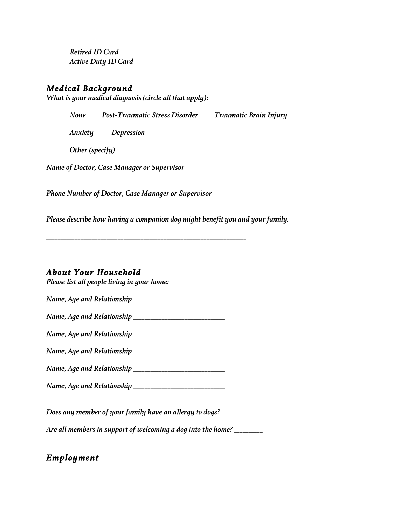*Retired ID Card Active Duty ID Card*

#### *Medical Background*

*What is your medical diagnosis (circle all that apply):*

*None Post-Traumatic Stress Disorder Traumatic Brain Injury*

*Anxiety Depression* 

*Other (specify) \_\_\_\_\_\_\_\_\_\_\_\_\_\_\_\_\_\_\_\_\_\_\_\_* 

*Name of Doctor, Case Manager or Supervisor*

*Phone Number of Doctor, Case Manager or Supervisor*

*\_\_\_\_\_\_\_\_\_\_\_\_\_\_\_\_\_\_\_\_\_\_\_\_\_\_\_\_\_\_\_\_\_\_\_\_\_\_\_\_\_\_\_\_\_\_\_\_\_\_\_*

*Please describe how having a companion dog might benefit you and your family.*

*\_\_\_\_\_\_\_\_\_\_\_\_\_\_\_\_\_\_\_\_\_\_\_\_\_\_\_\_\_\_\_\_\_\_\_\_\_\_\_\_\_\_\_\_\_\_\_\_\_\_\_\_\_\_\_\_\_\_\_\_\_\_\_\_\_\_\_\_\_\_*

*\_\_\_\_\_\_\_\_\_\_\_\_\_\_\_\_\_\_\_\_\_\_\_\_\_\_\_\_\_\_\_\_\_\_\_\_\_\_\_\_\_\_\_\_\_\_\_\_\_\_\_\_\_\_\_\_\_\_\_\_\_\_\_\_\_\_\_\_\_\_*

*About Your Household* 

*Please list all people living in your home:*

| Does any member of your family have an allergy to dogs? |  |
|---------------------------------------------------------|--|

*Are all members in support of welcoming a dog into the home? \_\_\_\_\_\_\_\_\_\_*

#### *Employment*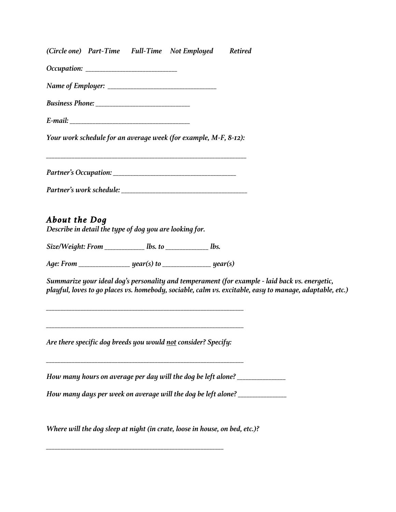| (Circle one) Part-Time Full-Time Not Employed Retired                                                                                                                                                      |
|------------------------------------------------------------------------------------------------------------------------------------------------------------------------------------------------------------|
|                                                                                                                                                                                                            |
|                                                                                                                                                                                                            |
|                                                                                                                                                                                                            |
|                                                                                                                                                                                                            |
| Your work schedule for an average week (for example, M-F, 8-12):                                                                                                                                           |
|                                                                                                                                                                                                            |
|                                                                                                                                                                                                            |
| <b>About the Doq</b><br>Describe in detail the type of dog you are looking for.                                                                                                                            |
| Size/Weight: From _____________ lbs. to _______________ lbs.                                                                                                                                               |
|                                                                                                                                                                                                            |
| Summarize your ideal dog's personality and temperament (for example - laid back vs. energetic,<br>playful, loves to go places vs. homebody, sociable, calm vs. excitable, easy to manage, adaptable, etc.) |
| Are there specific dog breeds you would not consider? Specify:                                                                                                                                             |
| How many hours on average per day will the dog be left alone? __________________                                                                                                                           |
| How many days per week on average will the dog be left alone? _________________                                                                                                                            |
| Where will the dog sleep at night (in crate, loose in house, on bed, etc.)?                                                                                                                                |
|                                                                                                                                                                                                            |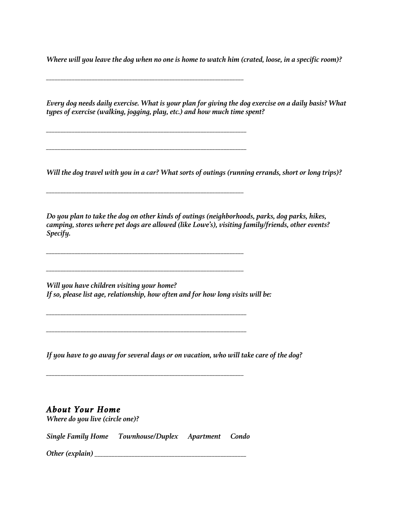*Where will you leave the dog when no one is home to watch him (crated, loose, in a specific room)?*

*\_\_\_\_\_\_\_\_\_\_\_\_\_\_\_\_\_\_\_\_\_\_\_\_\_\_\_\_\_\_\_\_\_\_\_\_\_\_\_\_\_\_\_\_\_\_\_\_\_\_\_\_\_\_\_\_\_\_\_\_\_\_\_\_\_\_\_\_\_*

*\_\_\_\_\_\_\_\_\_\_\_\_\_\_\_\_\_\_\_\_\_\_\_\_\_\_\_\_\_\_\_\_\_\_\_\_\_\_\_\_\_\_\_\_\_\_\_\_\_\_\_\_\_\_\_\_\_\_\_\_\_\_\_\_\_\_\_\_\_\_*

*\_\_\_\_\_\_\_\_\_\_\_\_\_\_\_\_\_\_\_\_\_\_\_\_\_\_\_\_\_\_\_\_\_\_\_\_\_\_\_\_\_\_\_\_\_\_\_\_\_\_\_\_\_\_\_\_\_\_\_\_\_\_\_\_\_\_\_\_\_\_*

*\_\_\_\_\_\_\_\_\_\_\_\_\_\_\_\_\_\_\_\_\_\_\_\_\_\_\_\_\_\_\_\_\_\_\_\_\_\_\_\_\_\_\_\_\_\_\_\_\_\_\_\_\_\_\_\_\_\_\_\_\_\_\_\_\_\_\_\_\_*

*\_\_\_\_\_\_\_\_\_\_\_\_\_\_\_\_\_\_\_\_\_\_\_\_\_\_\_\_\_\_\_\_\_\_\_\_\_\_\_\_\_\_\_\_\_\_\_\_\_\_\_\_\_\_\_\_\_\_\_\_\_\_\_\_\_\_\_\_\_*

*\_\_\_\_\_\_\_\_\_\_\_\_\_\_\_\_\_\_\_\_\_\_\_\_\_\_\_\_\_\_\_\_\_\_\_\_\_\_\_\_\_\_\_\_\_\_\_\_\_\_\_\_\_\_\_\_\_\_\_\_\_\_\_\_\_\_\_\_\_\_*

*\_\_\_\_\_\_\_\_\_\_\_\_\_\_\_\_\_\_\_\_\_\_\_\_\_\_\_\_\_\_\_\_\_\_\_\_\_\_\_\_\_\_\_\_\_\_\_\_\_\_\_\_\_\_\_\_\_\_\_\_\_\_\_\_\_\_\_\_\_*

*Every dog needs daily exercise. What is your plan for giving the dog exercise on a daily basis? What types of exercise (walking, jogging, play, etc.) and how much time spent?*

*Will the dog travel with you in a car? What sorts of outings (running errands, short or long trips)?*

*Do you plan to take the dog on other kinds of outings (neighborhoods, parks, dog parks, hikes, camping, stores where pet dogs are allowed (like Lowe's), visiting family/friends, other events? Specify.*

*Will you have children visiting your home? If so, please list age, relationship, how often and for how long visits will be:*

*\_\_\_\_\_\_\_\_\_\_\_\_\_\_\_\_\_\_\_\_\_\_\_\_\_\_\_\_\_\_\_\_\_\_\_\_\_\_\_\_\_\_\_\_\_\_\_\_\_\_\_\_\_\_\_\_\_\_\_\_\_\_\_\_\_\_\_\_\_\_*

*If you have to go away for several days or on vacation, who will take care of the dog?*

### *About Your Home*

*Where do you live (circle one)?*

*Single Family Home Townhouse/Duplex Apartment Condo* 

*Other (explain) \_\_\_\_\_\_\_\_\_\_\_\_\_\_\_\_\_\_\_\_\_\_\_\_\_\_\_\_\_\_\_\_\_\_\_\_\_\_\_\_\_\_\_\_\_\_\_\_\_\_\_\_\_*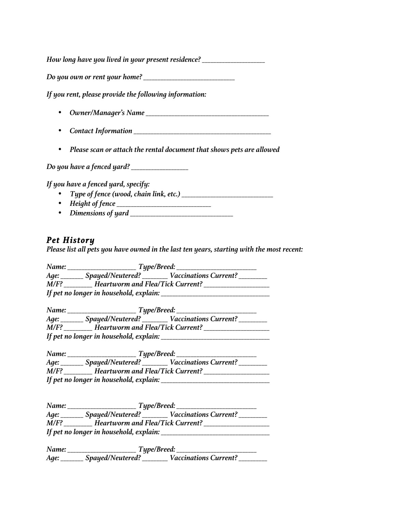*How long have you lived in your present residence? \_\_\_\_\_\_\_\_\_\_\_\_\_\_\_\_\_\_\_\_\_\_*

*Do you own or rent your home? \_\_\_\_\_\_\_\_\_\_\_\_\_\_\_\_\_\_\_\_\_\_\_\_\_\_\_\_\_\_\_\_*

*If you rent, please provide the following information:*

- *Owner/Manager's Name \_\_\_\_\_\_\_\_\_\_\_\_\_\_\_\_\_\_\_\_\_\_\_\_\_\_\_\_\_\_\_\_\_\_\_\_\_\_\_\_\_\_\_*
- *Contact Information \_\_\_\_\_\_\_\_\_\_\_\_\_\_\_\_\_\_\_\_\_\_\_\_\_\_\_\_\_\_\_\_\_\_\_\_\_\_\_\_\_\_\_\_\_\_\_\_*
- *Please scan or attach the rental document that shows pets are allowed*

*Do you have a fenced yard? \_\_\_\_\_\_\_\_\_\_\_\_\_\_\_\_\_\_\_\_*

*If you have a fenced yard, specify:*

- *Type of fence (wood, chain link, etc.) \_\_\_\_\_\_\_\_\_\_\_\_\_\_\_\_\_\_\_\_\_\_\_\_\_\_\_\_\_\_\_\_*
- *Height of fence \_\_\_\_\_\_\_\_\_\_\_\_\_\_\_\_\_\_\_\_\_\_\_\_\_\_\_\_\_\_\_\_\_*
- *Dimensions of yard \_\_\_\_\_\_\_\_\_\_\_\_\_\_\_\_\_\_\_\_\_\_\_\_\_\_\_\_\_\_\_\_\_\_\_\_*

#### *Pet History*

*Please list all pets you have owned in the last ten years, starting with the most recent:*

| Name:   |                                                        | Type/Breed:<br>Age: _______ Spayed/Neutered? ________ Vaccinations Current? ______ |
|---------|--------------------------------------------------------|------------------------------------------------------------------------------------|
|         |                                                        |                                                                                    |
| $M/F$ ? | Heartworm and Flea/Tick Current?                       |                                                                                    |
|         | If pet no longer in household, explain: ______________ |                                                                                    |

| Name:   | Type/Breed:                             |                                                |  |
|---------|-----------------------------------------|------------------------------------------------|--|
| Age:    |                                         | Spayed/Neutered? _______ Vaccinations Current? |  |
| $M/F$ ? | <b>Heartworm and Flea/Tick Current?</b> |                                                |  |
|         | If pet no longer in household, explain: |                                                |  |

| Name:                                   |                                         | Type/Breed:                                    |
|-----------------------------------------|-----------------------------------------|------------------------------------------------|
| Age:                                    |                                         | Spayed/Neutered? _______ Vaccinations Current? |
| M/F?                                    | <b>Heartworm and Flea/Tick Current?</b> |                                                |
| If pet no longer in household, explain: |                                         |                                                |

| Name:                                              | Type/Breed:                             |                                                |  |
|----------------------------------------------------|-----------------------------------------|------------------------------------------------|--|
| Aqe:                                               |                                         | Spayed/Neutered? _______ Vaccinations Current? |  |
| $M/F$ ?<br><b>Heartworm and Flea/Tick Current?</b> |                                         |                                                |  |
|                                                    | If pet no longer in household, explain: |                                                |  |

*Name: \_\_\_\_\_\_\_\_\_\_\_\_\_\_\_\_\_\_\_\_\_\_\_\_ Type/Breed: \_\_\_\_\_\_\_\_\_\_\_\_\_\_\_\_\_\_\_\_\_\_\_\_\_\_\_\_ Age: \_\_\_\_\_\_\_\_ Spayed/Neutered? \_\_\_\_\_\_\_\_\_ Vaccinations Current? \_\_\_\_\_\_\_\_\_\_*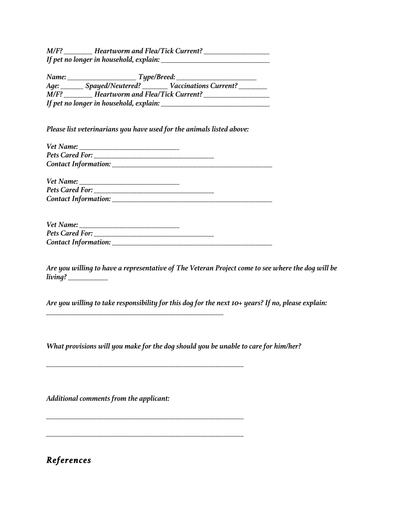*M/F? \_\_\_\_\_\_\_\_\_\_ Heartworm and Flea/Tick Current? \_\_\_\_\_\_\_\_\_\_\_\_\_\_\_\_\_\_\_\_\_\_\_ If pet no longer in household, explain: \_\_\_\_\_\_\_\_\_\_\_\_\_\_\_\_\_\_\_\_\_\_\_\_\_\_\_\_\_\_\_\_\_\_\_\_\_\_*

| Name: | Type/Breed:                             |                                                |
|-------|-----------------------------------------|------------------------------------------------|
| Age:  |                                         | Spayed/Neutered? _______ Vaccinations Current? |
| M/F?  | <b>Heartworm and Flea/Tick Current?</b> |                                                |
|       | If pet no longer in household, explain: |                                                |

*Please list veterinarians you have used for the animals listed above:*

| Vet Name:              |
|------------------------|
| <b>Pets Cared For:</b> |
| Contact Information:   |

*\_\_\_\_\_\_\_\_\_\_\_\_\_\_\_\_\_\_\_\_\_\_\_\_\_\_\_\_\_\_\_\_\_\_\_\_\_\_\_\_\_\_\_\_\_\_\_\_\_\_\_\_\_\_\_\_\_\_\_\_\_\_*

*\_\_\_\_\_\_\_\_\_\_\_\_\_\_\_\_\_\_\_\_\_\_\_\_\_\_\_\_\_\_\_\_\_\_\_\_\_\_\_\_\_\_\_\_\_\_\_\_\_\_\_\_\_\_\_\_\_\_\_\_\_\_\_\_\_\_\_\_\_*

*\_\_\_\_\_\_\_\_\_\_\_\_\_\_\_\_\_\_\_\_\_\_\_\_\_\_\_\_\_\_\_\_\_\_\_\_\_\_\_\_\_\_\_\_\_\_\_\_\_\_\_\_\_\_\_\_\_\_\_\_\_\_\_\_\_\_\_\_\_*

*\_\_\_\_\_\_\_\_\_\_\_\_\_\_\_\_\_\_\_\_\_\_\_\_\_\_\_\_\_\_\_\_\_\_\_\_\_\_\_\_\_\_\_\_\_\_\_\_\_\_\_\_\_\_\_\_\_\_\_\_\_\_\_\_\_\_\_\_\_*

*Are you willing to have a representative of The Veteran Project come to see where the dog will be living? \_\_\_\_\_\_\_\_\_\_\_\_\_\_*

*Are you willing to take responsibility for this dog for the next 10+ years? If no, please explain:* 

*What provisions will you make for the dog should you be unable to care for him/her?*

*Additional comments from the applicant:* 

*References*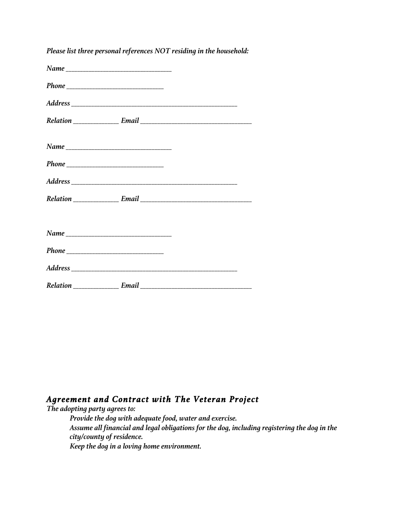| Please list three personal references NOT residing in the household: |  |
|----------------------------------------------------------------------|--|
|                                                                      |  |
|                                                                      |  |
|                                                                      |  |
|                                                                      |  |
|                                                                      |  |
|                                                                      |  |
|                                                                      |  |
|                                                                      |  |
|                                                                      |  |
|                                                                      |  |
|                                                                      |  |
|                                                                      |  |

## *Agreement and Contract with The Veteran Project*

*The adopting party agrees to:*

 *Provide the dog with adequate food, water and exercise. Assume all financial and legal obligations for the dog, including registering the dog in the city/county of residence. Keep the dog in a loving home environment.*